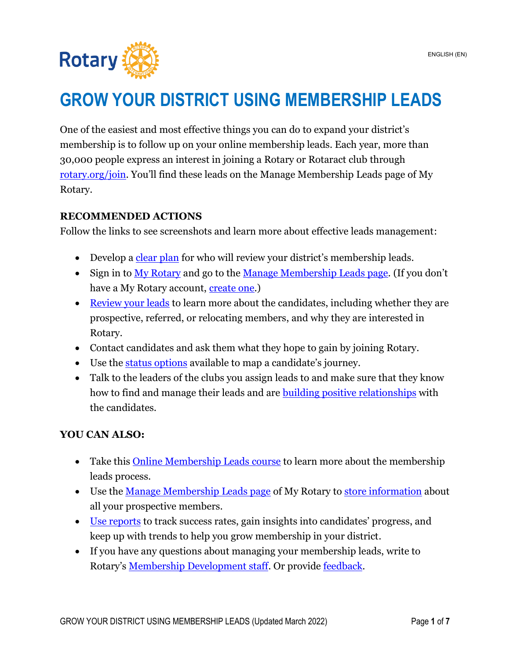

# **GROW YOUR DISTRICT USING MEMBERSHIP LEADS**

One of the easiest and most effective things you can do to expand your district's membership is to follow up on your online membership leads. Each year, more than 30,000 people express an interest in joining a Rotary or Rotaract club through [rotary.org/join.](https://www.rotary.org/en/get-involved/join) You'll find these leads on the Manage Membership Leads page of My Rotary.

# <span id="page-0-0"></span>**RECOMMENDED ACTIONS**

Follow the links to see screenshots and learn more about effective leads management:

- Develop a [clear plan](#page-1-0) for who will review your district's membership leads.
- Sign in to [My Rotary](https://my.rotary.org/en/) and go to the [Manage Membership Leads page](https://my.rotary.org/en/manage/club-district-administration/district-administration/membership-leads). (If you don't have a My Rotary account, [create one.](https://my.rotary.org/en/signup))
- [Review your leads](#page-1-1) to learn more about the candidates, including whether they are prospective, referred, or relocating members, and why they are interested in Rotary.
- Contact candidates and ask them what they hope to gain by joining Rotary.
- Use the [status options](#page-3-0) available to map a candidate's journey.
- Talk to the leaders of the clubs you assign leads to and make sure that they know how to find and manage their leads and are **building positive relationships** with the candidates.

# **YOU CAN ALSO:**

- Take this **Online Membership Leads course** to learn more about the membership leads process.
- Use the [Manage Membership Leads page](https://my.rotary.org/en/manage/club-district-administration/district-administration/membership-leads) of My Rotary to [store information](#page-5-0) about all your prospective members.
- [Use reports](#page-5-1) to track success rates, gain insights into candidates' progress, and keep up with trends to help you grow membership in your district.
- If you have any questions about managing your membership leads, write to Rotary's [Membership Development staff.](mailto:membershipdevelopment@rotary.org) Or provide [feedback.](#page-6-0)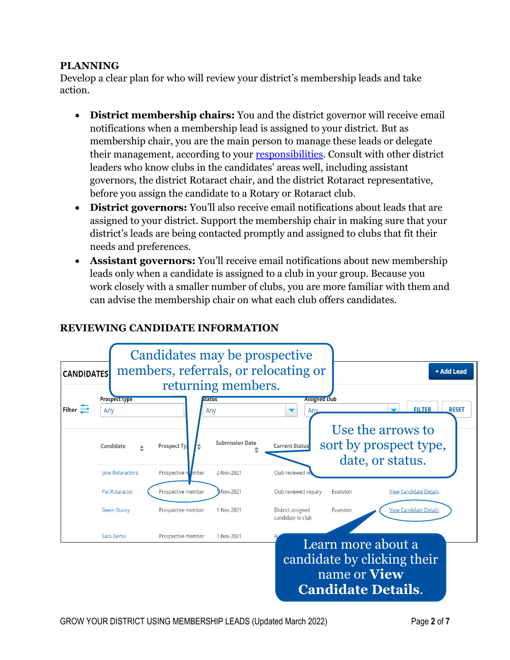## <span id="page-1-0"></span>**PLANNING**

Develop a clear plan for who will review your district's membership leads and take action.

- **District membership chairs:** You and the district governor will receive email notifications when a membership lead is assigned to your district. But as membership chair, you are the main person to manage these leads or delegate their management, according to your [responsibilities.](https://my-cms.rotary.org/en/document/district-membership-committee-chair-terms-and-responsibilities) Consult with other district leaders who know clubs in the candidates' areas well, including assistant governors, the district Rotaract chair, and the district Rotaract representative, before you assign the candidate to a Rotary or Rotaract club.
- **District governors:** You'll also receive email notifications about leads that are assigned to your district. Support the membership chair in making sure that your district's leads are being contacted promptly and assigned to clubs that fit their needs and preferences.
- **Assistant governors:** You'll receive email notifications about new membership leads only when a candidate is assigned to a club in your group. Because you work closely with a smaller number of clubs, you are more familiar with them and can advise the membership chair on what each club offers candidates.

## **REVIEWING CANDIDATE INFORMATION**

<span id="page-1-1"></span>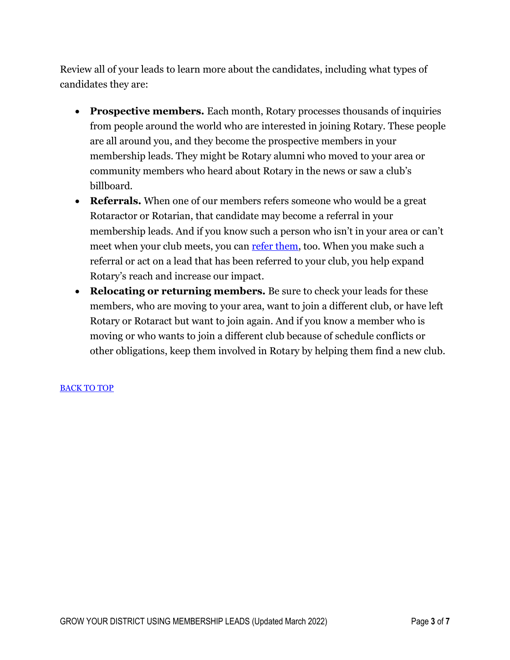Review all of your leads to learn more about the candidates, including what types of candidates they are:

- **Prospective members.** Each month, Rotary processes thousands of inquiries from people around the world who are interested in joining Rotary. These people are all around you, and they become the prospective members in your membership leads. They might be Rotary alumni who moved to your area or community members who heard about Rotary in the news or saw a club's billboard.
- **Referrals.** When one of our members refers someone who would be a great Rotaractor or Rotarian, that candidate may become a referral in your membership leads. And if you know such a person who isn't in your area or can't meet when your club meets, you can [refer them,](https://my.rotary.org/en/member-center/member-referral) too. When you make such a referral or act on a lead that has been referred to your club, you help expand Rotary's reach and increase our impact.
- **Relocating or returning members.** Be sure to check your leads for these members, who are moving to your area, want to join a different club, or have left Rotary or Rotaract but want to join again. And if you know a member who is moving or who wants to join a different club because of schedule conflicts or other obligations, keep them involved in Rotary by helping them find a new club.

#### [BACK TO TOP](#page-0-0)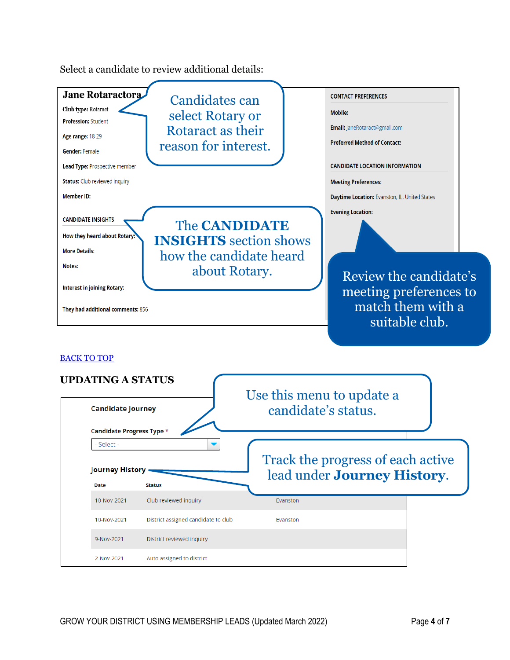<span id="page-3-0"></span>

Select a candidate to review additional details: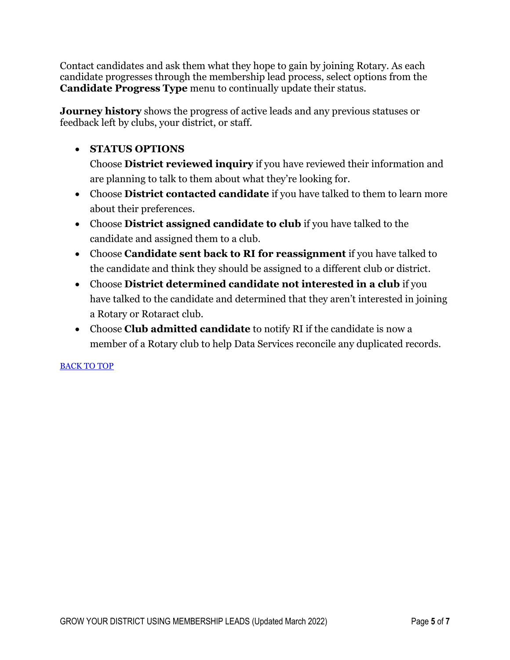Contact candidates and ask them what they hope to gain by joining Rotary. As each candidate progresses through the membership lead process, select options from the **Candidate Progress Type** menu to continually update their status.

**Journey history** shows the progress of active leads and any previous statuses or feedback left by clubs, your district, or staff.

# • **STATUS OPTIONS**

Choose **District reviewed inquiry** if you have reviewed their information and are planning to talk to them about what they're looking for.

- Choose **District contacted candidate** if you have talked to them to learn more about their preferences.
- Choose **District assigned candidate to club** if you have talked to the candidate and assigned them to a club.
- Choose **Candidate sent back to RI for reassignment** if you have talked to the candidate and think they should be assigned to a different club or district.
- Choose **District determined candidate not interested in a club** if you have talked to the candidate and determined that they aren't interested in joining a Rotary or Rotaract club.
- Choose **Club admitted candidate** to notify RI if the candidate is now a member of a Rotary club to help Data Services reconcile any duplicated records.

### [BACK TO TOP](#page-0-0)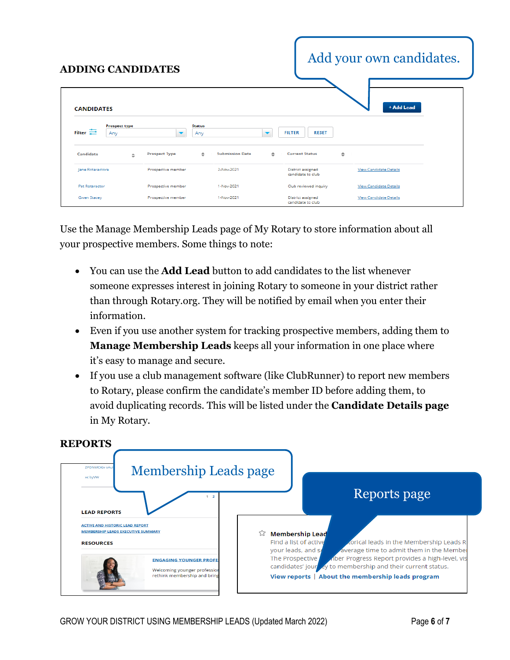<span id="page-5-0"></span>

| <b>ADDING CANDIDATES</b>                                            |   |                          |                      |                        |                          |                                        |        | Add your own candidates.      |  |
|---------------------------------------------------------------------|---|--------------------------|----------------------|------------------------|--------------------------|----------------------------------------|--------|-------------------------------|--|
| <b>CANDIDATES</b><br><b>Prospect type</b><br>Filter $\equiv$<br>Any |   | $\overline{\phantom{a}}$ | <b>Status</b><br>Any |                        | $\overline{\phantom{a}}$ | <b>FILTER</b><br><b>RESET</b>          |        | + Add Lead                    |  |
| Candidate                                                           | ÷ | <b>Prospect Type</b>     | ÷                    | <b>Submission Date</b> | $\hat{=}$                | <b>Current Status</b>                  | $\div$ |                               |  |
| Jane Rotaractora                                                    |   | Prospective member       |                      | 2-Nov-2021             |                          | District assigned<br>candidate to club |        | <b>View Candidate Details</b> |  |
| <b>Pat Rotaractor</b>                                               |   | Prospective member       |                      | 1-Nov-2021             |                          | Club reviewed inquiry                  |        | <b>View Candidate Details</b> |  |
| Gwen Stacey                                                         |   | Prospective member       |                      | 1-Nov-2021             |                          | District assigned<br>candidate to club |        | <b>View Candidate Details</b> |  |

Use the Manage Membership Leads page of My Rotary to store information about all your prospective members. Some things to note:

- You can use the **Add Lead** button to add candidates to the list whenever someone expresses interest in joining Rotary to someone in your district rather than through Rotary.org. They will be notified by email when you enter their information.
- Even if you use another system for tracking prospective members, adding them to **Manage Membership Leads** keeps all your information in one place where it's easy to manage and secure.
- If you use a club management software (like ClubRunner) to report new members to Rotary, please confirm the candidate's member ID before adding them, to avoid duplicating records. This will be listed under the **Candidate Details page** in My Rotary.



# <span id="page-5-1"></span>**REPORTS**